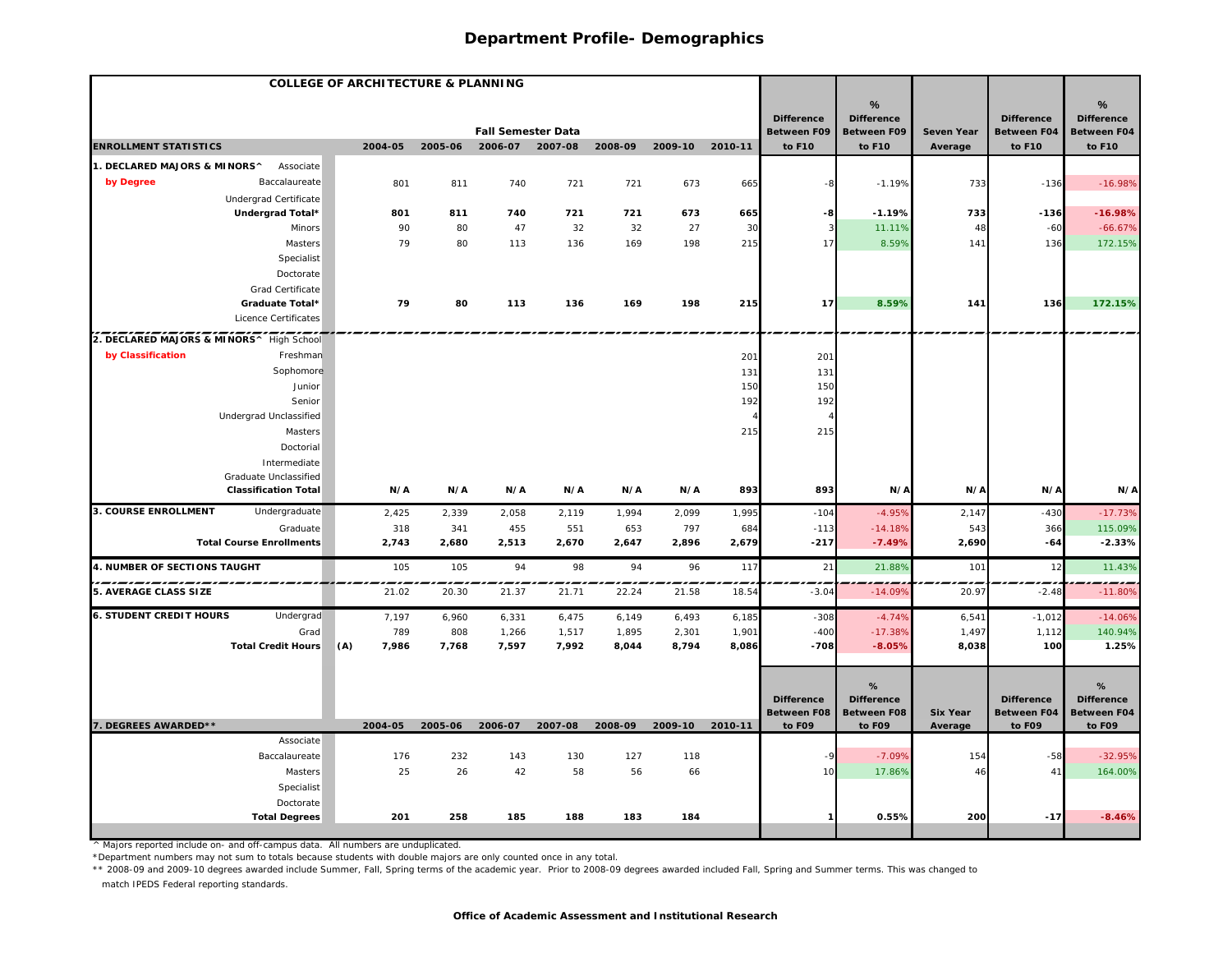| <b>COLLEGE OF ARCHITECTURE &amp; PLANNING</b>        |              |         |                           |         |         |                 |         |                                         |                                         |                            |                                         |                                  |
|------------------------------------------------------|--------------|---------|---------------------------|---------|---------|-----------------|---------|-----------------------------------------|-----------------------------------------|----------------------------|-----------------------------------------|----------------------------------|
|                                                      |              |         |                           |         |         |                 |         |                                         | %                                       |                            |                                         | %                                |
|                                                      |              |         | <b>Fall Semester Data</b> |         |         |                 |         | <b>Difference</b><br><b>Between F09</b> | <b>Difference</b><br><b>Between F09</b> | <b>Seven Year</b>          | <b>Difference</b><br><b>Between F04</b> | <b>Difference</b><br>Between F04 |
| <b>ENROLLMENT STATISTICS</b>                         | 2004-05      | 2005-06 | 2006-07 2007-08           |         | 2008-09 | 2009-10 2010-11 |         | to F10                                  | to F10                                  | Average                    | to F10                                  | to F10                           |
| 1. DECLARED MAJORS & MINORS^<br>Associate            |              |         |                           |         |         |                 |         |                                         |                                         |                            |                                         |                                  |
| by Degree<br>Baccalaureate                           | 801          | 811     | 740                       | 721     | 721     | 673             | 665     |                                         | $-1.19%$                                | 733                        | $-136$                                  | $-16.98%$                        |
| Undergrad Certificate                                |              |         |                           |         |         |                 |         |                                         |                                         |                            |                                         |                                  |
| Undergrad Total*                                     | 801          | 811     | 740                       | 721     | 721     | 673             | 665     | -8                                      | $-1.19%$                                | 733                        | $-136$                                  | $-16.98%$                        |
| Minors                                               | 90           | 80      | 47                        | 32      | 32      | 27              | 30      |                                         | 11.11%                                  | 48                         | $-60$                                   | $-66.67%$                        |
| Masters                                              | 79           | 80      | 113                       | 136     | 169     | 198             | 215     | 17                                      | 8.59%                                   | 141                        | 136                                     | 172.15%                          |
| Specialist                                           |              |         |                           |         |         |                 |         |                                         |                                         |                            |                                         |                                  |
| Doctorate                                            |              |         |                           |         |         |                 |         |                                         |                                         |                            |                                         |                                  |
| Grad Certificate                                     |              |         |                           |         |         |                 |         |                                         |                                         |                            |                                         |                                  |
| Graduate Total*                                      | 79           | 80      | 113                       | 136     | 169     | 198             | 215     | 17                                      | 8.59%                                   | 141                        | 136                                     | 172.15%                          |
| Licence Certificates                                 |              |         |                           |         |         |                 |         |                                         |                                         |                            |                                         |                                  |
| 2. DECLARED MAJORS & MINORS^ High School             |              |         |                           |         |         |                 |         |                                         |                                         |                            |                                         |                                  |
| by Classification<br>Freshman                        |              |         |                           |         |         |                 | 201     | 201                                     |                                         |                            |                                         |                                  |
| Sophomore                                            |              |         |                           |         |         |                 | 131     | 131                                     |                                         |                            |                                         |                                  |
| Junior                                               |              |         |                           |         |         |                 | 150     | 150                                     |                                         |                            |                                         |                                  |
| Senior                                               |              |         |                           |         |         |                 | 192     | 192                                     |                                         |                            |                                         |                                  |
| Undergrad Unclassified                               |              |         |                           |         |         |                 |         |                                         |                                         |                            |                                         |                                  |
| Masters                                              |              |         |                           |         |         |                 | 215     | 215                                     |                                         |                            |                                         |                                  |
| Doctorial                                            |              |         |                           |         |         |                 |         |                                         |                                         |                            |                                         |                                  |
| Intermediate                                         |              |         |                           |         |         |                 |         |                                         |                                         |                            |                                         |                                  |
| Graduate Unclassified<br><b>Classification Total</b> | N/A          | N/A     | N/A                       | N/A     | N/A     | N/A             |         |                                         | N/A                                     | N/A                        |                                         |                                  |
|                                                      |              |         |                           |         |         |                 | 893     | 893                                     |                                         |                            | N/A                                     | N/A                              |
| <b>3. COURSE ENROLLMENT</b><br>Undergraduate         | 2,425        | 2,339   | 2,058                     | 2,119   | 1,994   | 2,099           | 1,995   | $-104$                                  | $-4.95%$                                | 2,147                      | $-430$                                  | $-17.73%$                        |
| Graduate<br><b>Total Course Enrollments</b>          | 318          | 341     | 455                       | 551     | 653     | 797             | 684     | $-113$                                  | $-14.18%$                               | 543                        | 366                                     | 115.09%                          |
|                                                      | 2,743        | 2,680   | 2,513                     | 2,670   | 2,647   | 2,896           | 2,679   | $-217$                                  | $-7.49%$                                | 2,690                      | $-64$                                   | $-2.33%$                         |
| 4. NUMBER OF SECTIONS TAUGHT                         | 105          | 105     | 94                        | 98      | 94      | 96              | 117     | 21                                      | 21.88%                                  | 101                        | 12                                      | 11.43%                           |
| 5. AVERAGE CLASS SIZE                                | 21.02        | 20.30   | 21.37                     | 21.71   | 22.24   | 21.58           | 18.54   | $-3.04$                                 | $-14.09%$                               | 20.97                      | $-2.48$                                 | $-11.80%$                        |
| <b>6. STUDENT CREDIT HOURS</b><br>Undergrad          | 7,197        | 6,960   | 6,331                     | 6,475   | 6,149   | 6,493           | 6,185   | $-308$                                  | $-4.74%$                                | 6,541                      | $-1,012$                                | $-14.06%$                        |
| Grad                                                 | 789          | 808     | 1,266                     | 1,517   | 1,895   | 2,301           | 1,901   | $-400$                                  | $-17.38%$                               | 1,497                      | 1,112                                   | 140.94%                          |
| <b>Total Credit Hours</b>                            | (A)<br>7,986 | 7,768   | 7,597                     | 7,992   | 8,044   | 8,794           | 8,086   | $-708$                                  | $-8.05%$                                | 8,038                      | 100                                     | 1.25%                            |
|                                                      |              |         |                           |         |         |                 |         |                                         |                                         |                            |                                         |                                  |
|                                                      |              |         |                           |         |         |                 |         |                                         | %                                       |                            |                                         | %                                |
|                                                      |              |         |                           |         |         |                 |         | <b>Difference</b>                       | <b>Difference</b>                       |                            | <b>Difference</b>                       | <b>Difference</b>                |
| 7. DEGREES AWARDED**                                 | 2004-05      | 2005-06 | 2006-07                   | 2007-08 | 2008-09 | 2009-10         | 2010-11 | <b>Between F08</b><br>to F09            | <b>Between F08</b><br>to F09            | <b>Six Year</b><br>Average | Between F04<br>to F09                   | Between F04<br>to F09            |
| Associate                                            |              |         |                           |         |         |                 |         |                                         |                                         |                            |                                         |                                  |
| Baccalaureate                                        | 176          | 232     | 143                       | 130     | 127     | 118             |         | -9                                      | $-7.09%$                                | 154                        | $-58$                                   | $-32.95%$                        |
| Masters                                              | 25           | 26      | 42                        | 58      | 56      | 66              |         | 10                                      | 17.86%                                  | 46                         | 41                                      | 164.00%                          |
| Specialist                                           |              |         |                           |         |         |                 |         |                                         |                                         |                            |                                         |                                  |
| Doctorate                                            |              |         |                           |         |         |                 |         |                                         |                                         |                            |                                         |                                  |
| <b>Total Degrees</b>                                 | 201          | 258     | 185                       | 188     | 183     | 184             |         |                                         | 0.55%                                   | 200                        | $-17$                                   | $-8.46%$                         |
|                                                      |              |         |                           |         |         |                 |         |                                         |                                         |                            |                                         |                                  |

^ Majors reported include on- and off-campus data. All numbers are unduplicated.

\*Department numbers may not sum to totals because students with double majors are only counted once in any total.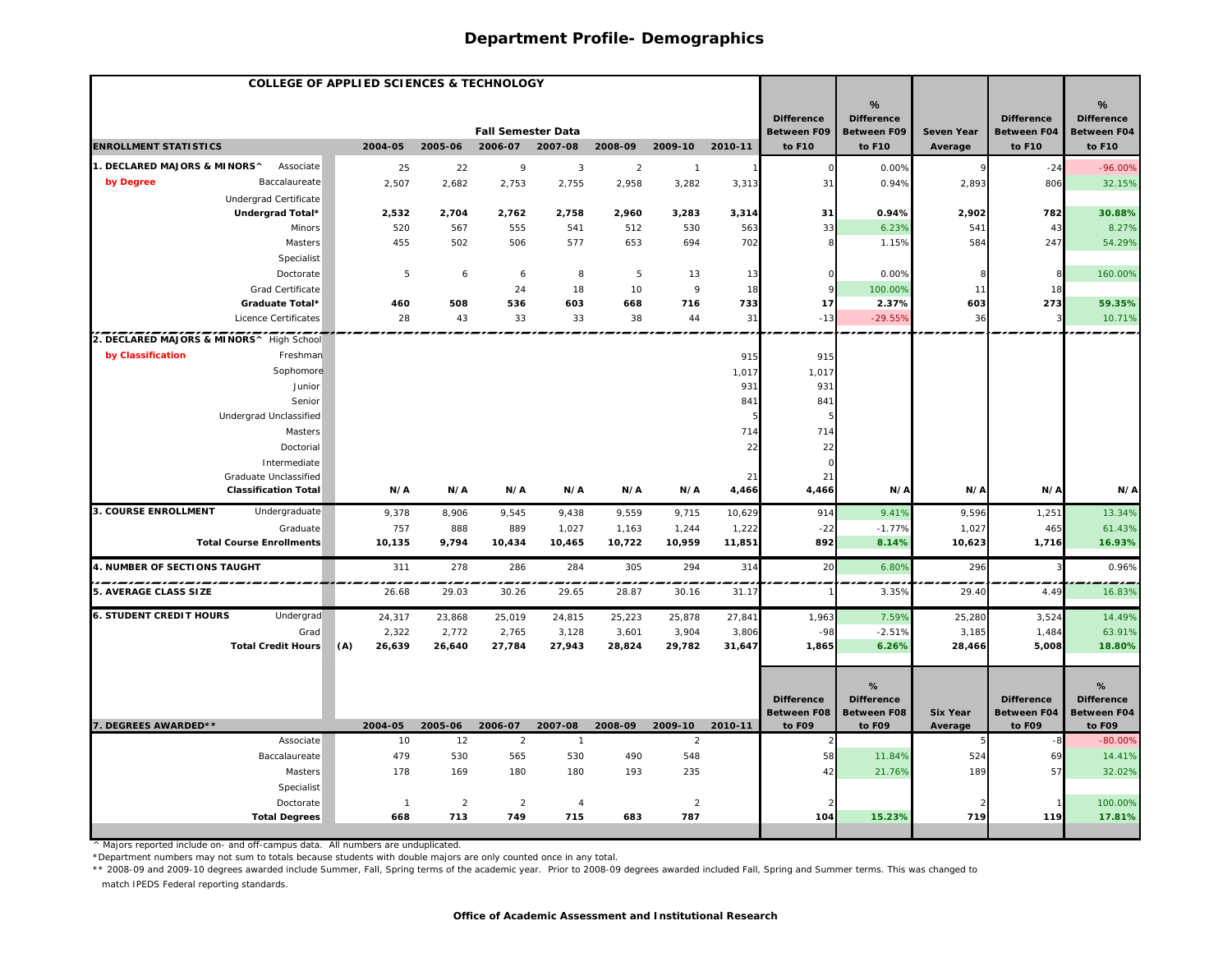| <b>COLLEGE OF APPLIED SCIENCES &amp; TECHNOLOGY</b> |                |                |                                      |                |                    |                         |         |                              |                              |                            |                              |                              |
|-----------------------------------------------------|----------------|----------------|--------------------------------------|----------------|--------------------|-------------------------|---------|------------------------------|------------------------------|----------------------------|------------------------------|------------------------------|
|                                                     |                |                |                                      |                |                    |                         |         |                              | %                            |                            |                              | %                            |
|                                                     |                |                |                                      |                |                    |                         |         | <b>Difference</b>            | <b>Difference</b>            |                            | <b>Difference</b>            | <b>Difference</b>            |
| <b>ENROLLMENT STATISTICS</b>                        | 2004-05        | 2005-06        | <b>Fall Semester Data</b><br>2006-07 |                | 2007-08<br>2008-09 |                         | 2010-11 | <b>Between F09</b><br>to F10 | <b>Between F09</b><br>to F10 | Seven Year<br>Average      | <b>Between F04</b><br>to F10 | <b>Between F04</b><br>to F10 |
| 1. DECLARED MAJORS & MINORS^<br>Associate           | 25             | 22             | 9                                    | 3              | $\overline{2}$     | 2009-10<br>$\mathbf{1}$ |         |                              | 0.00%                        | $\mathbf{Q}$               | $-24$                        | $-96.00%$                    |
| by Degree<br>Baccalaureate                          | 2,507          | 2,682          | 2,753                                | 2,755          | 2,958              | 3,282                   | 3,313   | 31                           | 0.94%                        | 2,893                      | 806                          | 32.15%                       |
| Undergrad Certificate                               |                |                |                                      |                |                    |                         |         |                              |                              |                            |                              |                              |
| Undergrad Total*                                    | 2,532          | 2,704          | 2,762                                | 2,758          | 2,960              | 3,283                   | 3,314   | 31                           | 0.94%                        | 2,902                      | 782                          | 30.88%                       |
| Minors                                              | 520            | 567            | 555                                  | 541            | 512                | 530                     | 563     | 33                           | 6.23%                        | 541                        | 43                           | 8.27%                        |
| Masters                                             | 455            | 502            | 506                                  | 577            | 653                | 694                     | 702     |                              | 1.15%                        | 584                        | 247                          | 54.29%                       |
| Specialist                                          |                |                |                                      |                |                    |                         |         |                              |                              |                            |                              |                              |
| Doctorate                                           | 5              | 6              | 6                                    | 8              | 5                  | 13                      | 13      | $\Omega$                     | 0.00%                        |                            |                              | 160.00%                      |
| Grad Certificate                                    |                |                | 24                                   | 18             | 10                 | 9                       | 18      |                              | 100.00%                      | 11                         | 18                           |                              |
| Graduate Total*                                     | 460            | 508            | 536                                  | 603            | 668                | 716                     | 733     | 17                           | 2.37%                        | 603                        | 273                          | 59.35%                       |
| Licence Certificates                                | 28             | 43             | 33                                   | 33             | 38                 | 44                      | 31      | $-13$                        | $-29.55%$                    | 36                         |                              | 10.71%                       |
| 2. DECLARED MAJORS & MINORS^ High School            |                |                |                                      |                |                    |                         |         |                              |                              |                            |                              |                              |
| by Classification<br>Freshman                       |                |                |                                      |                |                    |                         | 915     | 915                          |                              |                            |                              |                              |
| Sophomore                                           |                |                |                                      |                |                    |                         | 1,017   | 1,017                        |                              |                            |                              |                              |
| Junior                                              |                |                |                                      |                |                    |                         | 931     | 931                          |                              |                            |                              |                              |
| Senior                                              |                |                |                                      |                |                    |                         | 841     | 841                          |                              |                            |                              |                              |
| Undergrad Unclassified                              |                |                |                                      |                |                    |                         |         |                              |                              |                            |                              |                              |
| Masters                                             |                |                |                                      |                |                    |                         | 714     | 714                          |                              |                            |                              |                              |
| Doctorial                                           |                |                |                                      |                |                    |                         | 22      | 22                           |                              |                            |                              |                              |
| Intermediate                                        |                |                |                                      |                |                    |                         |         | $\Omega$                     |                              |                            |                              |                              |
| Graduate Unclassified                               |                |                |                                      |                |                    |                         | 21      | 21                           |                              |                            |                              |                              |
| <b>Classification Total</b>                         | N/A            | N/A            | N/A                                  | N/A            | N/A                | N/A                     | 4,466   | 4,466                        | N/A                          | N/A                        | N/A                          | N/A                          |
| <b>3. COURSE ENROLLMENT</b><br>Undergraduate        | 9,378          | 8,906          | 9,545                                | 9,438          | 9,559              | 9,715                   | 10,629  | 914                          | 9.41%                        | 9,596                      | 1,251                        | 13.34%                       |
| Graduate                                            | 757            | 888            | 889                                  | 1,027          | 1,163              | 1,244                   | 1,222   | $-22$                        | $-1.77%$                     | 1,027                      | 465                          | 61.43%                       |
| <b>Total Course Enrollments</b>                     | 10,135         | 9,794          | 10,434                               | 10,465         | 10,722             | 10,959                  | 11,851  | 892                          | 8.14%                        | 10,623                     | 1,716                        | 16.93%                       |
| 4. NUMBER OF SECTIONS TAUGHT                        | 311            | 278            | 286                                  | 284            | 305                | 294                     | 314     | 20                           | 6.80%                        | 296                        |                              | 0.96%                        |
| 5. AVERAGE CLASS SIZE                               | 26.68          | 29.03          | 30.26                                | 29.65          | 28.87              | 30.16                   | 31.1    |                              | 3.35%                        | 29.40                      | 4.4 <sup>°</sup>             | 16.83%                       |
| <b>6. STUDENT CREDIT HOURS</b><br>Undergrad         | 24,317         | 23,868         | 25,019                               | 24,815         | 25,223             | 25,878                  | 27,841  | 1,963                        | 7.59%                        | 25,280                     | 3,524                        | 14.49%                       |
| Grad                                                | 2,322          | 2,772          | 2,765                                | 3,128          | 3,601              | 3,904                   | 3,806   | $-98$                        | $-2.51%$                     | 3,185                      | 1,484                        | 63.91%                       |
| <b>Total Credit Hours</b>                           | (A)<br>26,639  | 26,640         | 27,784                               | 27,943         | 28,824             | 29,782                  | 31,647  | 1,865                        | 6.26%                        | 28,466                     | 5,008                        | 18.80%                       |
|                                                     |                |                |                                      |                |                    |                         |         |                              |                              |                            |                              |                              |
|                                                     |                |                |                                      |                |                    |                         |         |                              | %                            |                            |                              | %                            |
|                                                     |                |                |                                      |                |                    |                         |         | <b>Difference</b>            | <b>Difference</b>            |                            | <b>Difference</b>            | <b>Difference</b>            |
| 7. DEGREES AWARDED**                                | 2004-05        | 2005-06        | 2006-07                              | 2007-08        | 2008-09            | 2009-10                 | 2010-11 | <b>Between F08</b><br>to F09 | <b>Between F08</b><br>to F09 | <b>Six Year</b><br>Average | Between F04<br>to F09        | <b>Between F04</b><br>to F09 |
| Associate                                           | 10             | 12             | 2                                    | $\overline{1}$ |                    | $\overline{2}$          |         |                              |                              |                            |                              | $-80.00%$                    |
| Baccalaureate                                       | 479            | 530            | 565                                  | 530            | 490                | 548                     |         | 58                           | 11.84%                       | 524                        | 69                           | 14.41%                       |
| <b>Masters</b>                                      | 178            | 169            | 180                                  | 180            | 193                | 235                     |         | 42                           | 21.76%                       | 189                        | 57                           | 32.02%                       |
| Specialist                                          |                |                |                                      |                |                    |                         |         |                              |                              |                            |                              |                              |
| Doctorate                                           | $\overline{1}$ | $\overline{2}$ | $\overline{2}$                       | $\overline{4}$ |                    | $\overline{2}$          |         |                              |                              |                            |                              | 100.00%                      |
| <b>Total Degrees</b>                                | 668            | 713            | 749                                  | 715            | 683                | 787                     |         | 104                          | 15.23%                       | 719                        | 119                          | 17.81%                       |
|                                                     |                |                |                                      |                |                    |                         |         |                              |                              |                            |                              |                              |

^ Majors reported include on- and off-campus data. All numbers are unduplicated.

\*Department numbers may not sum to totals because students with double majors are only counted once in any total.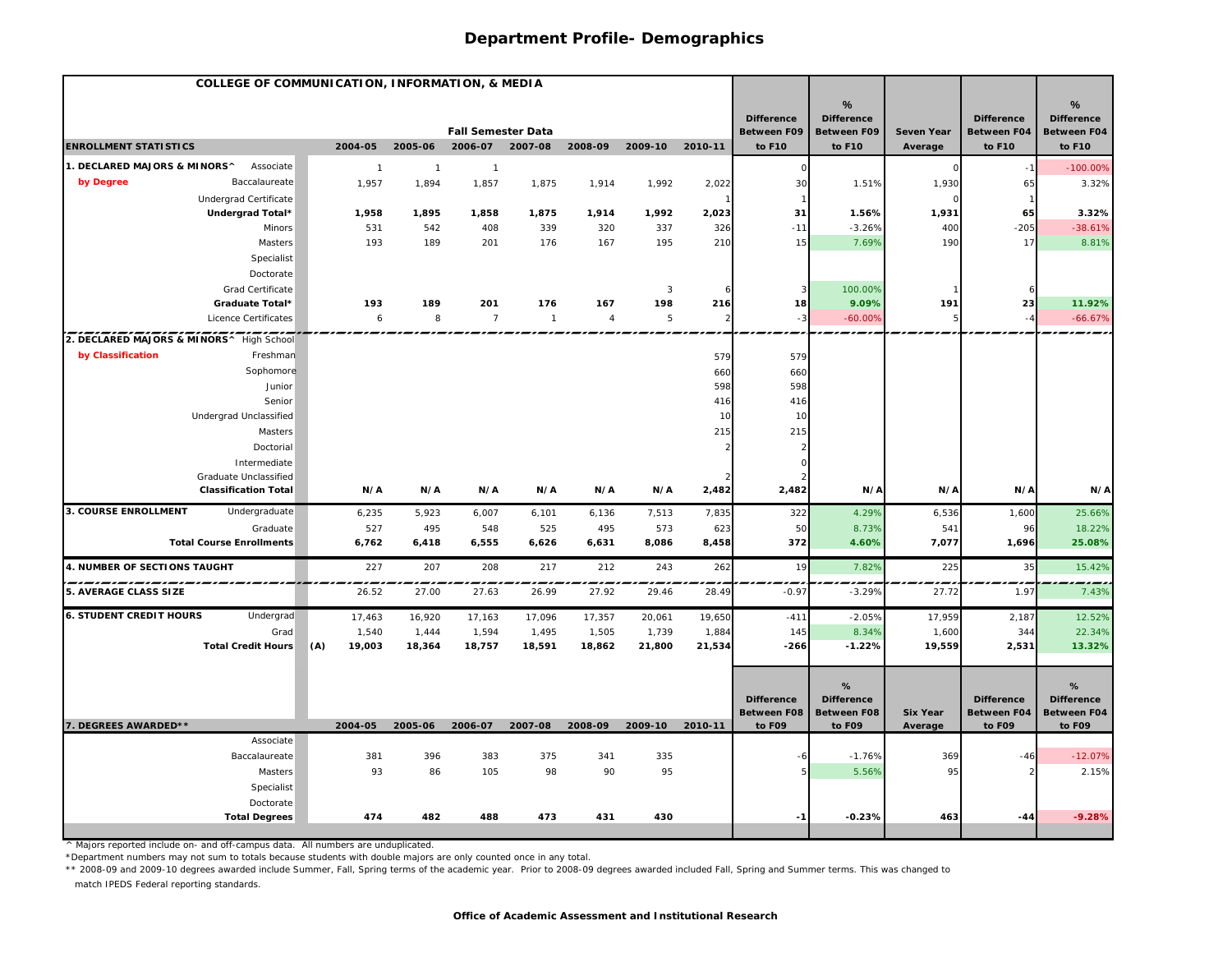| %<br><b>Difference</b><br><b>Difference</b><br><b>Difference</b><br><b>Fall Semester Data</b><br>Between F09<br><b>Between F09</b><br><b>Between F04</b><br>Seven Year<br><b>ENROLLMENT STATISTICS</b><br>2004-05<br>2005-06<br>2006-07 2007-08<br>2008-09<br>2009-10 2010-11<br>to F10<br>to F10<br>to F10<br>Average<br>1. DECLARED MAJORS & MINORS^<br>Associate<br>$\overline{1}$<br>$\mathbf{1}$<br>$\Omega$<br>$\mathbf{1}$<br>by Degree<br>Baccalaureate<br>1,957<br>1,894<br>1,857<br>1,875<br>1,914<br>1,992<br>2,022<br>30<br>1,930<br>1.51%<br>65<br>Undergrad Certificate<br>Undergrad Total*<br>31<br>1,931<br>65<br>1,958<br>1,895<br>1,858<br>1,875<br>1,914<br>1,992<br>2,023<br>1.56%<br>531<br>542<br>339<br>326<br>$-11$<br>$-3.26%$<br>$-205$<br>Minors<br>408<br>320<br>337<br>400 | %<br><b>Difference</b><br><b>Between F04</b><br>to F10<br>$-100.00%$<br>3.32%<br>3.32%<br>$-38.61%$<br>8.81% |
|---------------------------------------------------------------------------------------------------------------------------------------------------------------------------------------------------------------------------------------------------------------------------------------------------------------------------------------------------------------------------------------------------------------------------------------------------------------------------------------------------------------------------------------------------------------------------------------------------------------------------------------------------------------------------------------------------------------------------------------------------------------------------------------------------------|--------------------------------------------------------------------------------------------------------------|
|                                                                                                                                                                                                                                                                                                                                                                                                                                                                                                                                                                                                                                                                                                                                                                                                         |                                                                                                              |
|                                                                                                                                                                                                                                                                                                                                                                                                                                                                                                                                                                                                                                                                                                                                                                                                         |                                                                                                              |
|                                                                                                                                                                                                                                                                                                                                                                                                                                                                                                                                                                                                                                                                                                                                                                                                         |                                                                                                              |
|                                                                                                                                                                                                                                                                                                                                                                                                                                                                                                                                                                                                                                                                                                                                                                                                         |                                                                                                              |
|                                                                                                                                                                                                                                                                                                                                                                                                                                                                                                                                                                                                                                                                                                                                                                                                         |                                                                                                              |
|                                                                                                                                                                                                                                                                                                                                                                                                                                                                                                                                                                                                                                                                                                                                                                                                         |                                                                                                              |
|                                                                                                                                                                                                                                                                                                                                                                                                                                                                                                                                                                                                                                                                                                                                                                                                         |                                                                                                              |
|                                                                                                                                                                                                                                                                                                                                                                                                                                                                                                                                                                                                                                                                                                                                                                                                         |                                                                                                              |
| 193<br>195<br>210<br>7.69%<br>190<br>17<br>Masters<br>189<br>201<br>176<br>167<br>15                                                                                                                                                                                                                                                                                                                                                                                                                                                                                                                                                                                                                                                                                                                    |                                                                                                              |
| Specialist                                                                                                                                                                                                                                                                                                                                                                                                                                                                                                                                                                                                                                                                                                                                                                                              |                                                                                                              |
| Doctorate                                                                                                                                                                                                                                                                                                                                                                                                                                                                                                                                                                                                                                                                                                                                                                                               |                                                                                                              |
| Grad Certificate<br>100.00%<br>$\mathbf{3}$                                                                                                                                                                                                                                                                                                                                                                                                                                                                                                                                                                                                                                                                                                                                                             |                                                                                                              |
| 9.09%<br>23<br>Graduate Total*<br>193<br>189<br>201<br>176<br>167<br>198<br>216<br>18<br>191                                                                                                                                                                                                                                                                                                                                                                                                                                                                                                                                                                                                                                                                                                            | 11.92%                                                                                                       |
| 8<br>$\overline{7}$<br>$\mathbf 5$<br>$-60.00%$<br>Licence Certificates<br>6<br>$\overline{1}$<br>$\overline{4}$<br>$-3$<br>$\mathcal{D}$<br>5<br>$-4$                                                                                                                                                                                                                                                                                                                                                                                                                                                                                                                                                                                                                                                  | $-66.67%$                                                                                                    |
| 2. DECLARED MAJORS & MINORS^ High School                                                                                                                                                                                                                                                                                                                                                                                                                                                                                                                                                                                                                                                                                                                                                                |                                                                                                              |
| by Classification<br>Freshman<br>579<br>579                                                                                                                                                                                                                                                                                                                                                                                                                                                                                                                                                                                                                                                                                                                                                             |                                                                                                              |
| Sophomore<br>660<br>660                                                                                                                                                                                                                                                                                                                                                                                                                                                                                                                                                                                                                                                                                                                                                                                 |                                                                                                              |
| 598<br>598<br>Junior                                                                                                                                                                                                                                                                                                                                                                                                                                                                                                                                                                                                                                                                                                                                                                                    |                                                                                                              |
| Senior<br>416<br>416                                                                                                                                                                                                                                                                                                                                                                                                                                                                                                                                                                                                                                                                                                                                                                                    |                                                                                                              |
| Undergrad Unclassified<br>10<br>10                                                                                                                                                                                                                                                                                                                                                                                                                                                                                                                                                                                                                                                                                                                                                                      |                                                                                                              |
| Masters<br>215<br>215                                                                                                                                                                                                                                                                                                                                                                                                                                                                                                                                                                                                                                                                                                                                                                                   |                                                                                                              |
| Doctorial                                                                                                                                                                                                                                                                                                                                                                                                                                                                                                                                                                                                                                                                                                                                                                                               |                                                                                                              |
| Intermediate<br>$\Omega$                                                                                                                                                                                                                                                                                                                                                                                                                                                                                                                                                                                                                                                                                                                                                                                |                                                                                                              |
| Graduate Unclassified<br><b>Classification Total</b><br>N/A<br>N/A<br>N/A<br>N/A<br>N/A<br>N/A<br>2,482<br>2,482<br>N/A<br>N/A<br>N/A                                                                                                                                                                                                                                                                                                                                                                                                                                                                                                                                                                                                                                                                   | N/A                                                                                                          |
|                                                                                                                                                                                                                                                                                                                                                                                                                                                                                                                                                                                                                                                                                                                                                                                                         |                                                                                                              |
| 3. COURSE ENROLLMENT<br>Undergraduate<br>4.29%<br>7,513<br>7,835<br>322<br>6,536<br>6,235<br>5,923<br>6,007<br>6,101<br>6,136<br>1,600                                                                                                                                                                                                                                                                                                                                                                                                                                                                                                                                                                                                                                                                  | 25.66%                                                                                                       |
| 527<br>495<br>548<br>525<br>495<br>8.73%<br>Graduate<br>573<br>623<br>50<br>541<br>96<br>4.60%                                                                                                                                                                                                                                                                                                                                                                                                                                                                                                                                                                                                                                                                                                          | 18.22%                                                                                                       |
| <b>Total Course Enrollments</b><br>6,418<br>6,555<br>8,086<br>8,458<br>372<br>7,077<br>1,696<br>6,762<br>6,626<br>6,631                                                                                                                                                                                                                                                                                                                                                                                                                                                                                                                                                                                                                                                                                 | 25.08%                                                                                                       |
| 4. NUMBER OF SECTIONS TAUGHT<br>207<br>208<br>217<br>212<br>262<br>19<br>7.82%<br>225<br>35<br>227<br>243                                                                                                                                                                                                                                                                                                                                                                                                                                                                                                                                                                                                                                                                                               | 15.42%                                                                                                       |
| <b>5. AVERAGE CLASS SIZE</b><br>26.52<br>28.49<br>$-3.29%$<br>27.72<br>27.00<br>27.63<br>26.99<br>27.92<br>29.46<br>$-0.97$<br>1.97                                                                                                                                                                                                                                                                                                                                                                                                                                                                                                                                                                                                                                                                     | 7.43%                                                                                                        |
| <b>6. STUDENT CREDIT HOURS</b><br>Undergrad<br>$-411$<br>$-2.05%$<br>17,959<br>17,463<br>16,920<br>17,163<br>17,096<br>17,357<br>20,061<br>19,650<br>2,187                                                                                                                                                                                                                                                                                                                                                                                                                                                                                                                                                                                                                                              | 12.52%                                                                                                       |
| 1,540<br>1,444<br>1,594<br>1,495<br>1,505<br>1,739<br>1,884<br>8.34%<br>1,600<br>Grad<br>145<br>344                                                                                                                                                                                                                                                                                                                                                                                                                                                                                                                                                                                                                                                                                                     | 22.34%                                                                                                       |
| <b>Total Credit Hours</b><br>(A)<br>19,003<br>18,364<br>18,757<br>18,591<br>18,862<br>21,800<br>21,534<br>$-1.22%$<br>19,559<br>2,531<br>$-266$                                                                                                                                                                                                                                                                                                                                                                                                                                                                                                                                                                                                                                                         | 13.32%                                                                                                       |
|                                                                                                                                                                                                                                                                                                                                                                                                                                                                                                                                                                                                                                                                                                                                                                                                         |                                                                                                              |
| %<br><b>Difference</b><br><b>Difference</b><br><b>Difference</b>                                                                                                                                                                                                                                                                                                                                                                                                                                                                                                                                                                                                                                                                                                                                        | %<br><b>Difference</b>                                                                                       |
| <b>Between F08</b><br><b>Between F08</b><br><b>Six Year</b><br><b>Between F04</b>                                                                                                                                                                                                                                                                                                                                                                                                                                                                                                                                                                                                                                                                                                                       | <b>Between F04</b>                                                                                           |
| 7. DEGREES AWARDED**<br>2004-05<br>2005-06<br>2006-07<br>2007-08<br>2008-09<br>2009-10<br>2010-11<br>to F09<br>to F09<br>to F09<br>Average                                                                                                                                                                                                                                                                                                                                                                                                                                                                                                                                                                                                                                                              | to F09                                                                                                       |
| Associate                                                                                                                                                                                                                                                                                                                                                                                                                                                                                                                                                                                                                                                                                                                                                                                               |                                                                                                              |
| 381<br>396<br>383<br>375<br>335<br>Baccalaureate<br>341<br>$-1.76%$<br>369<br>$-46$                                                                                                                                                                                                                                                                                                                                                                                                                                                                                                                                                                                                                                                                                                                     | $-12.07%$                                                                                                    |
| 93<br>105<br>98<br>90<br>95<br>5.56%<br>95<br>Masters<br>86                                                                                                                                                                                                                                                                                                                                                                                                                                                                                                                                                                                                                                                                                                                                             | 2.15%                                                                                                        |
| Specialist                                                                                                                                                                                                                                                                                                                                                                                                                                                                                                                                                                                                                                                                                                                                                                                              |                                                                                                              |
| Doctorate                                                                                                                                                                                                                                                                                                                                                                                                                                                                                                                                                                                                                                                                                                                                                                                               |                                                                                                              |
| <b>Total Degrees</b><br>474<br>482<br>488<br>473<br>431<br>430<br>$-0.23%$<br>463<br>$-44$                                                                                                                                                                                                                                                                                                                                                                                                                                                                                                                                                                                                                                                                                                              | $-9.28%$                                                                                                     |

^ Majors reported include on- and off-campus data. All numbers are unduplicated.

\*Department numbers may not sum to totals because students with double majors are only counted once in any total.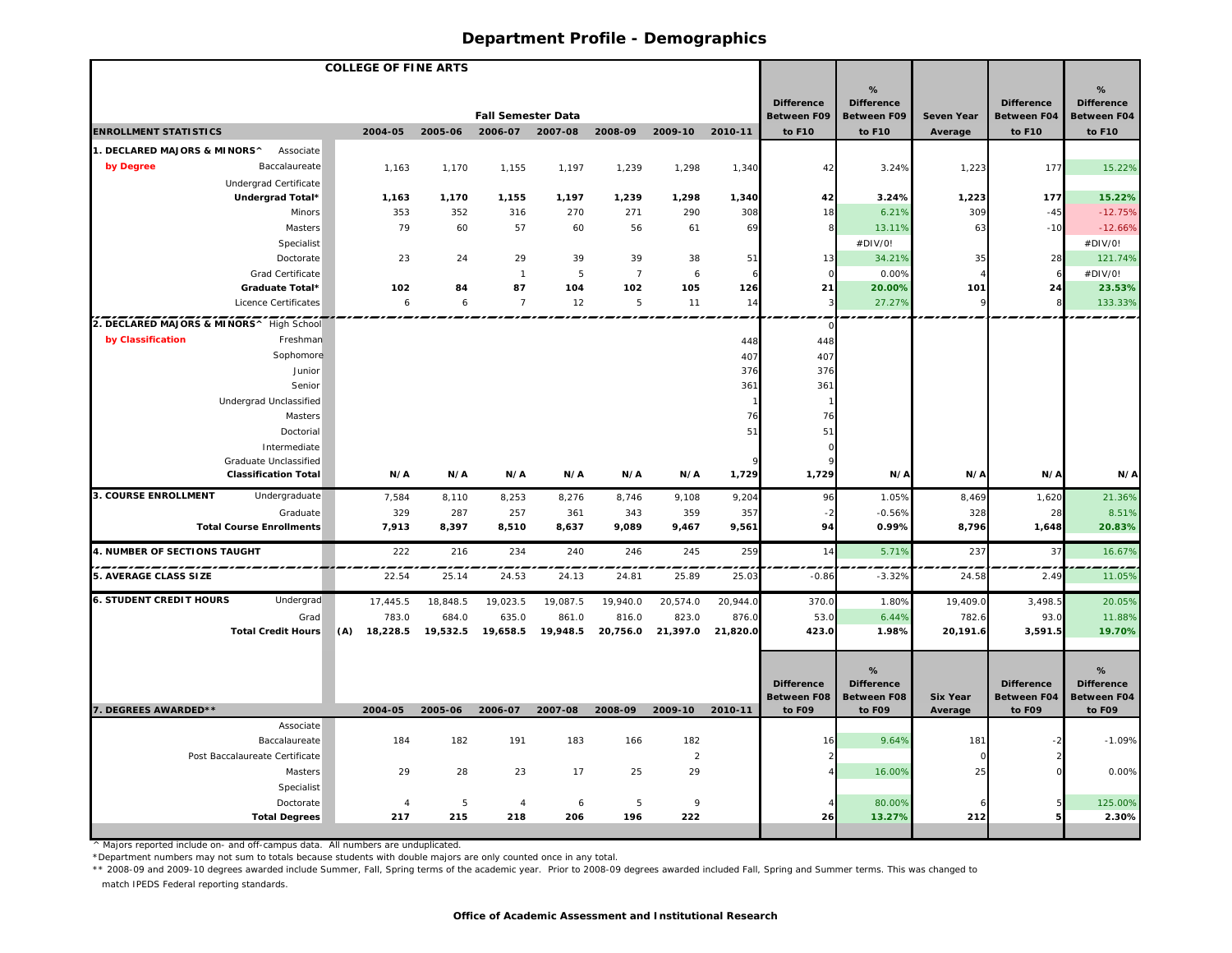| <b>COLLEGE OF FINE ARTS</b>              |                                       |     |                |              |                           |                            |                |                |              |                       |                              |                            |                              |                              |
|------------------------------------------|---------------------------------------|-----|----------------|--------------|---------------------------|----------------------------|----------------|----------------|--------------|-----------------------|------------------------------|----------------------------|------------------------------|------------------------------|
|                                          |                                       |     |                |              |                           |                            |                |                |              |                       | %                            |                            |                              | %                            |
|                                          |                                       |     |                |              |                           |                            |                |                |              | <b>Difference</b>     | <b>Difference</b>            |                            | <b>Difference</b>            | <b>Difference</b>            |
|                                          |                                       |     |                |              | <b>Fall Semester Data</b> |                            |                |                |              | <b>Between F09</b>    | <b>Between F09</b>           | <b>Seven Year</b>          | <b>Between F04</b>           | <b>Between F04</b>           |
| <b>ENROLLMENT STATISTICS</b>             |                                       |     | 2004-05        | 2005-06      | 2006-07                   | 2007-08                    | 2008-09        | 2009-10        | 2010-11      | to F10                | to F10                       | Average                    | to F10                       | to F10                       |
| 1. DECLARED MAJORS & MINORS^             | Associate                             |     |                |              |                           |                            |                |                |              |                       |                              |                            |                              |                              |
| by Degree                                | Baccalaureate                         |     | 1,163          | 1,170        | 1,155                     | 1,197                      | 1,239          | 1,298          | 1,340        | 42                    | 3.24%                        | 1,223                      | 177                          | 15.22%                       |
|                                          | Undergrad Certificate                 |     |                |              |                           |                            |                |                |              |                       |                              |                            |                              |                              |
|                                          | Undergrad Total*                      |     | 1,163          | 1,170        | 1,155                     | 1,197                      | 1,239          | 1,298          | 1,340        | 42                    | 3.24%                        | 1,223                      | 177                          | 15.22%                       |
|                                          | Minors                                |     | 353            | 352          | 316                       | 270                        | 271            | 290            | 308          | 18                    | 6.21%                        | 309                        | $-45$                        | $-12.75%$                    |
|                                          | <b>Masters</b>                        |     | 79             | 60           | 57                        | 60                         | 56             | 61             | 69           | 8                     | 13.11%                       | 63                         | $-10$                        | $-12.66%$                    |
|                                          | Specialist                            |     |                |              |                           |                            |                |                |              |                       | #DIV/0!                      |                            |                              | #DIV/0!                      |
|                                          | Doctorate                             |     | 23             | 24           | 29                        | 39                         | 39             | 38             | 51           | 13                    | 34.21%                       | 35                         | 28                           | 121.74%                      |
|                                          | Grad Certificate                      |     |                |              | $\overline{1}$            | 5                          | $\overline{7}$ | 6              | 6            | $\Omega$              | 0.00%                        |                            | 6                            | #DIV/0!                      |
|                                          | Graduate Total*                       |     | 102            | 84           | 87                        | 104                        | 102            | 105            | 126          | 21                    | 20.00%                       | 101                        | 24                           | 23.53%                       |
|                                          | Licence Certificates                  |     | 6              | 6            | $\overline{7}$            | 12                         | 5              | 11             | 14           |                       | 27.27%                       |                            |                              | 133.33%                      |
| 2. DECLARED MAJORS & MINORS^ High School |                                       |     |                |              |                           |                            |                |                |              |                       |                              |                            |                              |                              |
| by Classification                        | Freshman                              |     |                |              |                           |                            |                |                | 448          | 448                   |                              |                            |                              |                              |
|                                          | Sophomore                             |     |                |              |                           |                            |                |                | 407          | 407                   |                              |                            |                              |                              |
|                                          | Junior                                |     |                |              |                           |                            |                |                | 376          | 376                   |                              |                            |                              |                              |
|                                          | Senior                                |     |                |              |                           |                            |                |                | 361          | 361                   |                              |                            |                              |                              |
|                                          | Undergrad Unclassified                |     |                |              |                           |                            |                |                |              |                       |                              |                            |                              |                              |
|                                          | <b>Masters</b>                        |     |                |              |                           |                            |                |                | 76           | 76                    |                              |                            |                              |                              |
|                                          | Doctorial                             |     |                |              |                           |                            |                |                | 51           | 51<br>C               |                              |                            |                              |                              |
|                                          | Intermediate<br>Graduate Unclassified |     |                |              |                           |                            |                |                |              |                       |                              |                            |                              |                              |
|                                          | <b>Classification Total</b>           |     | N/A            | N/A          | N/A                       | N/A                        | N/A            | N/A            | 1,729        | 1,729                 | N/A                          | N/A                        | N/A                          | N/A                          |
| 3. COURSE ENROLLMENT                     | Undergraduate                         |     |                |              |                           |                            |                |                |              |                       |                              |                            |                              |                              |
|                                          | Graduate                              |     | 7,584<br>329   | 8,110<br>287 | 8,253<br>257              | 8,276                      | 8,746          | 9,108          | 9,204<br>357 | 96                    | 1.05%<br>$-0.56%$            | 8,469<br>328               | 1,620<br>28                  | 21.36%<br>8.51%              |
|                                          | <b>Total Course Enrollments</b>       |     | 7,913          | 8,397        | 8,510                     | 361<br>8,637               | 343<br>9,089   | 359<br>9,467   | 9,561        | $-2$<br>94            | 0.99%                        | 8,796                      | 1,648                        | 20.83%                       |
|                                          |                                       |     |                |              |                           |                            |                |                |              |                       |                              |                            |                              |                              |
| 4. NUMBER OF SECTIONS TAUGHT             |                                       |     | 222            | 216          | 234                       | 240                        | 246            | 245            | 259          | 14                    | 5.71%                        | 237                        | 37                           | 16.67%                       |
| <b>5. AVERAGE CLASS SIZE</b>             |                                       |     | 22.54          | 25.14        | 24.53                     | 24.13                      | 24.81          | 25.89          | 25.03        | $-0.86$               | $-3.32%$                     | 24.58                      | 2.49                         | 11.05%                       |
| <b>6. STUDENT CREDIT HOURS</b>           | Undergrad                             |     | 17,445.5       | 18,848.5     | 19,023.5                  | 19,087.5                   | 19,940.0       | 20,574.0       | 20,944.0     | 370.0                 | 1.80%                        | 19,409.0                   | 3,498.5                      | 20.05%                       |
|                                          | Grad                                  |     | 783.0          | 684.0        | 635.0                     | 861.0                      | 816.0          | 823.0          | 876.0        | 53.0                  | 6.44%                        | 782.6                      | 93.0                         | 11.88%                       |
|                                          | <b>Total Credit Hours</b>             | (A) | 18,228.5       |              |                           | 19,532.5 19,658.5 19,948.5 | 20,756.0       | 21,397.0       | 21,820.0     | 423.0                 | 1.98%                        | 20,191.6                   | 3,591.5                      | 19.70%                       |
|                                          |                                       |     |                |              |                           |                            |                |                |              |                       |                              |                            |                              |                              |
|                                          |                                       |     |                |              |                           |                            |                |                |              |                       | %                            |                            |                              | %                            |
|                                          |                                       |     |                |              |                           |                            |                |                |              | <b>Difference</b>     | <b>Difference</b>            |                            | <b>Difference</b>            | <b>Difference</b>            |
| 7. DEGREES AWARDED**                     |                                       |     | 2004-05        | 2005-06      | 2006-07                   | 2007-08                    | 2008-09        | 2009-10        | 2010-11      | Between F08<br>to F09 | <b>Between F08</b><br>to F09 | <b>Six Year</b><br>Average | <b>Between F04</b><br>to F09 | <b>Between F04</b><br>to F09 |
|                                          | Associate                             |     |                |              |                           |                            |                |                |              |                       |                              |                            |                              |                              |
|                                          | Baccalaureate                         |     | 184            | 182          | 191                       | 183                        | 166            | 182            |              | 16                    | 9.64%                        | 181                        |                              | $-1.09%$                     |
|                                          | Post Baccalaureate Certificate        |     |                |              |                           |                            |                | $\overline{2}$ |              |                       |                              | $\Omega$                   |                              |                              |
|                                          | <b>Masters</b>                        |     | 29             | 28           | 23                        | 17                         | 25             | 29             |              |                       | 16.00%                       | 25                         |                              | 0.00%                        |
|                                          | Specialist                            |     |                |              |                           |                            |                |                |              |                       |                              |                            |                              |                              |
|                                          | Doctorate                             |     | $\overline{4}$ | 5            | $\overline{4}$            | 6                          | 5              | 9              |              |                       | 80.00%                       |                            |                              | 125.00%                      |
|                                          | <b>Total Degrees</b>                  |     | 217            | 215          | 218                       | 206                        | 196            | 222            |              | 26                    | 13.27%                       | 212                        |                              | 2.30%                        |
|                                          |                                       |     |                |              |                           |                            |                |                |              |                       |                              |                            |                              |                              |

^ Majors reported include on- and off-campus data. All numbers are unduplicated.

\*Department numbers may not sum to totals because students with double majors are only counted once in any total.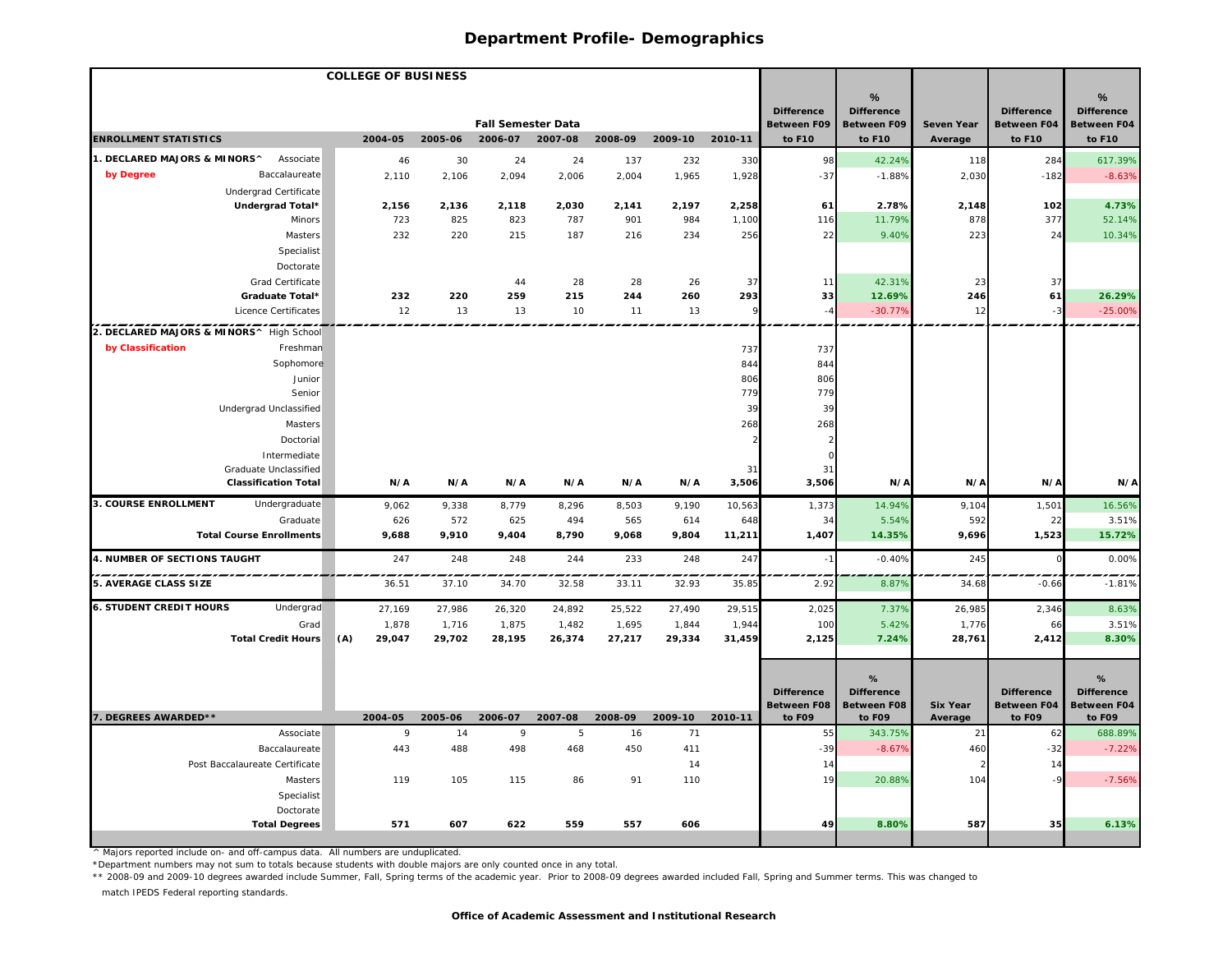|                                             | <b>COLLEGE OF BUSINESS</b> |           |                                      |          |           |           |         |                              |                              |                              |                       |                         |
|---------------------------------------------|----------------------------|-----------|--------------------------------------|----------|-----------|-----------|---------|------------------------------|------------------------------|------------------------------|-----------------------|-------------------------|
|                                             |                            |           |                                      |          |           |           |         |                              | %                            |                              |                       | %                       |
|                                             |                            |           |                                      |          |           |           |         | <b>Difference</b>            | <b>Difference</b>            |                              | <b>Difference</b>     | <b>Difference</b>       |
| <b>ENROLLMENT STATISTICS</b>                | 2004-05                    | 2005-06   | <b>Fall Semester Data</b><br>2006-07 | 2007-08  | 2008-09   | 2009-10   | 2010-11 | <b>Between F09</b><br>to F10 | <b>Between F09</b><br>to F10 | <b>Seven Year</b><br>Average | Between F04<br>to F10 | Between F04<br>to F10   |
| 1. DECLARED MAJORS & MINORS^<br>Associate   |                            |           |                                      |          |           |           |         |                              |                              |                              |                       |                         |
| by Degree<br>Baccalaureate                  | 46<br>2,110                | 30        | 24                                   | 24       | 137       | 232       | 330     | 98                           | 42.24%<br>$-1.88%$           | 118                          | 284<br>$-182$         | 617.39%<br>$-8.63%$     |
| Undergrad Certificate                       |                            | 2,106     | 2,094                                | 2,006    | 2,004     | 1,965     | 1,928   | $-37$                        |                              | 2,030                        |                       |                         |
| Undergrad Total*                            | 2,156                      | 2,136     | 2,118                                | 2,030    | 2,141     | 2,197     | 2,258   | 61                           | 2.78%                        | 2,148                        | 102                   | 4.73%                   |
| Minors                                      | 723                        | 825       | 823                                  | 787      | 901       | 984       | 1,100   | 116                          | 11.79%                       | 878                          | 377                   | 52.14%                  |
| Masters                                     | 232                        | 220       | 215                                  | 187      | 216       | 234       | 256     | 22                           | 9.40%                        | 223                          | 24                    | 10.34%                  |
| Specialist                                  |                            |           |                                      |          |           |           |         |                              |                              |                              |                       |                         |
| Doctorate                                   |                            |           |                                      |          |           |           |         |                              |                              |                              |                       |                         |
| Grad Certificate                            |                            |           | 44                                   | 28       | 28        | 26        | 37      | 11                           | 42.31%                       | 23                           | 37                    |                         |
| Graduate Total*                             | 232                        | 220       | 259                                  | 215      | 244       | 260       | 293     | 33                           | 12.69%                       | 246                          | 61                    | 26.29%                  |
| Licence Certificates                        | 12                         | 13        | 13                                   | 10       | 11        | 13        | 9       | $-4$                         | $-30.77%$                    | 12                           | $-3$                  | $-25.00%$               |
| 2. DECLARED MAJORS & MINORS^ High School    |                            |           |                                      |          |           |           |         | .                            |                              |                              |                       |                         |
| by Classification<br>Freshman               |                            |           |                                      |          |           |           | 737     | 737                          |                              |                              |                       |                         |
| Sophomore                                   |                            |           |                                      |          |           |           | 844     | 844                          |                              |                              |                       |                         |
| Junior                                      |                            |           |                                      |          |           |           | 806     | 806                          |                              |                              |                       |                         |
| Senior                                      |                            |           |                                      |          |           |           | 779     | 779                          |                              |                              |                       |                         |
| Undergrad Unclassified                      |                            |           |                                      |          |           |           | 39      | 39                           |                              |                              |                       |                         |
| Masters                                     |                            |           |                                      |          |           |           | 268     | 268                          |                              |                              |                       |                         |
| Doctorial                                   |                            |           |                                      |          |           |           |         |                              |                              |                              |                       |                         |
| Intermediate<br>Graduate Unclassified       |                            |           |                                      |          |           |           | 31      | 31                           |                              |                              |                       |                         |
| <b>Classification Total</b>                 | N/A                        | N/A       | N/A                                  | N/A      | N/A       | N/A       | 3,506   | 3,506                        | N/A                          | N/A                          | N/A                   | N/A                     |
| 3. COURSE ENROLLMENT<br>Undergraduate       | 9,062                      | 9,338     | 8,779                                | 8,296    | 8,503     | 9,190     | 10,563  | 1,373                        | 14.94%                       | 9,104                        | 1,501                 | 16.56%                  |
| Graduate                                    | 626                        | 572       | 625                                  | 494      | 565       | 614       | 648     | 34                           | 5.54%                        | 592                          | 22                    | 3.51%                   |
| <b>Total Course Enrollments</b>             | 9,688                      | 9,910     | 9,404                                | 8,790    | 9,068     | 9,804     | 11,211  | 1,407                        | 14.35%                       | 9,696                        | 1,523                 | 15.72%                  |
| 4. NUMBER OF SECTIONS TAUGHT                | 247                        | 248       | 248                                  | 244      | 233       | 248       | 247     | $-1$                         | $-0.40%$                     | 245                          |                       | 0.00%                   |
| 5. AVERAGE CLASS SIZE                       | 36.51                      | 37.10     | 34.70                                | 32.58    | 33.11     | 32.93     | 35.85   | 2.92                         | 8.879                        | 34.68                        | $-0.66$               | $-1.81%$                |
| <b>6. STUDENT CREDIT HOURS</b><br>Undergrad | 27,169                     | 27,986    | 26,320                               | 24,892   | 25,522    | 27,490    | 29,515  | 2,025                        | 7.37%                        | 26,985                       | 2,346                 | 8.63%                   |
| Grad                                        | 1,878                      | 1,716     | 1,875                                | 1,482    | 1,695     | 1,844     | 1,944   | 100                          | 5.42%                        | 1,776                        | 66                    | 3.51%                   |
| <b>Total Credit Hours</b>                   | (A)<br>29,047              | 29,702    | 28,195                               | 26,374   | 27,217    | 29,334    | 31,459  | 2,125                        | 7.24%                        | 28,761                       | 2,412                 | 8.30%                   |
|                                             |                            |           |                                      |          |           |           |         |                              |                              |                              |                       |                         |
|                                             |                            |           |                                      |          |           |           |         |                              | %                            |                              |                       | %                       |
|                                             |                            |           |                                      |          |           |           |         | <b>Difference</b>            | <b>Difference</b>            |                              | <b>Difference</b>     | <b>Difference</b>       |
|                                             |                            |           |                                      |          |           |           |         | <b>Between F08</b>           | <b>Between F08</b>           | <b>Six Year</b>              |                       | Between F04 Between F04 |
| 7. DEGREES AWARDED**                        | 2004-05                    | 2005-06   | 2006-07                              | 2007-08  | 2008-09   | 2009-10   | 2010-11 | to F09                       | to F09                       | Average                      | to F09                | to F09                  |
| Associate<br>Baccalaureate                  | 9<br>443                   | 14<br>488 | $\overline{9}$<br>498                | 5<br>468 | 16<br>450 | 71<br>411 |         | 55<br>$-39$                  | 343.75%<br>$-8.67%$          | 21<br>460                    | 62<br>$-32$           | 688.89%<br>$-7.22%$     |
| Post Baccalaureate Certificate              |                            |           |                                      |          |           | 14        |         | 14                           |                              | $\mathcal{D}$                | 14                    |                         |
| Masters                                     | 119                        | 105       | 115                                  | 86       | 91        | 110       |         | 19                           | 20.88%                       | 104                          | $-9$                  | $-7.56%$                |
| Specialist                                  |                            |           |                                      |          |           |           |         |                              |                              |                              |                       |                         |
| Doctorate                                   |                            |           |                                      |          |           |           |         |                              |                              |                              |                       |                         |
|                                             |                            |           |                                      |          |           |           |         |                              |                              |                              |                       |                         |

^ Majors reported include on- and off-campus data. All numbers are unduplicated.

\*Department numbers may not sum to totals because students with double majors are only counted once in any total.

\*\* 2008-09 and 2009-10 degrees awarded include Summer, Fall, Spring terms of the academic year. Prior to 2008-09 degrees awarded included Fall, Spring and Summer terms. This was changed to

match IPEDS Federal reporting standards.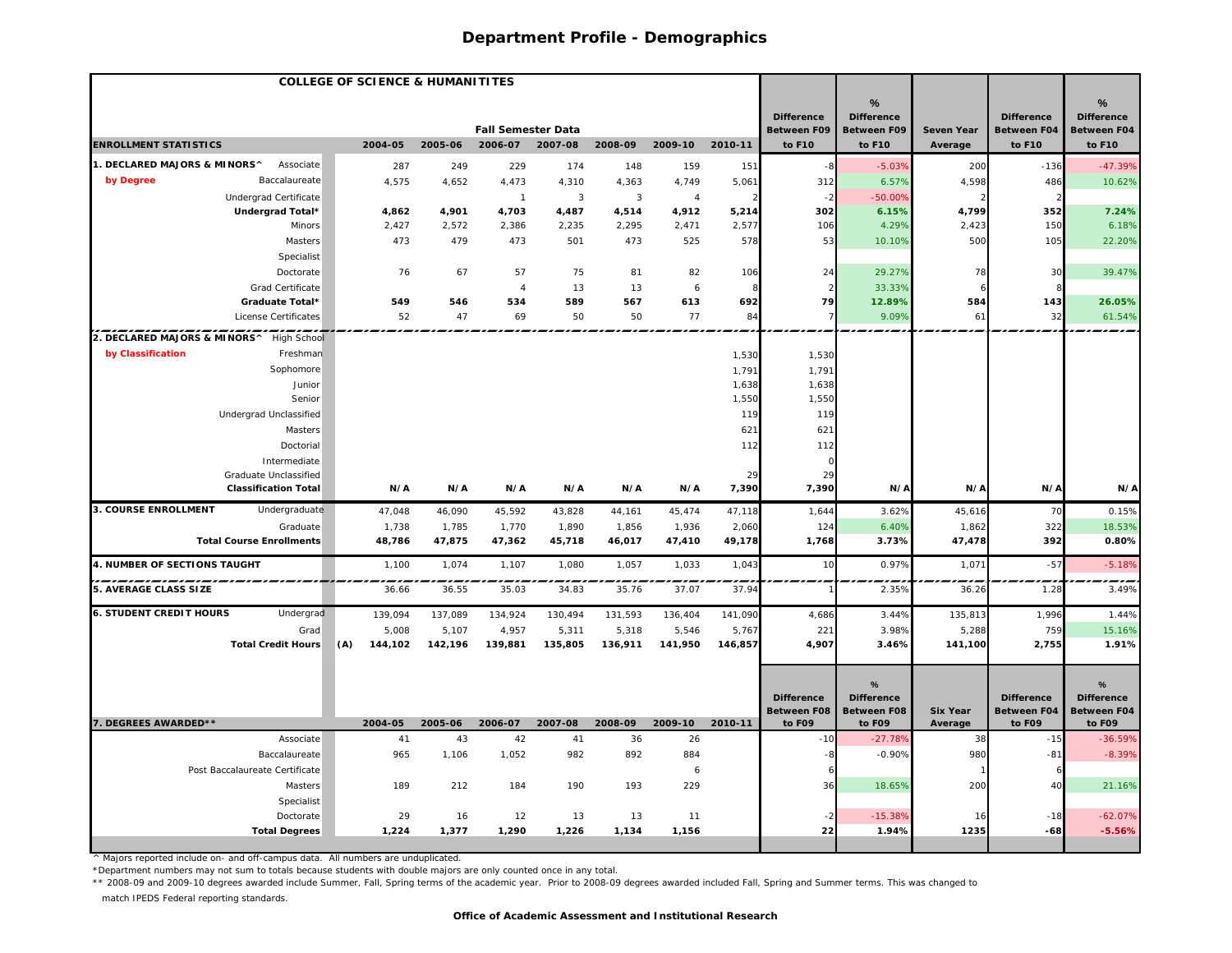| <b>COLLEGE OF SCIENCE &amp; HUMANITITES</b>          |                 |                 |                           |                 |                 |                 |                 |                              |                              |                            |                              |                              |
|------------------------------------------------------|-----------------|-----------------|---------------------------|-----------------|-----------------|-----------------|-----------------|------------------------------|------------------------------|----------------------------|------------------------------|------------------------------|
|                                                      |                 |                 |                           |                 |                 |                 |                 | <b>Difference</b>            | %<br><b>Difference</b>       |                            | <b>Difference</b>            | %<br><b>Difference</b>       |
|                                                      |                 |                 | <b>Fall Semester Data</b> |                 |                 |                 |                 | <b>Between F09</b>           | <b>Between F09</b>           | <b>Seven Year</b>          | <b>Between F04</b>           | <b>Between F04</b>           |
| <b>ENROLLMENT STATISTICS</b>                         | 2004-05         | 2005-06         | 2006-07                   | 2007-08         | 2008-09         | 2009-10         | 2010-11         | to F10                       | to F10                       | Average                    | to F10                       | to F10                       |
| 1. DECLARED MAJORS & MINORS^<br>Associate            | 287             | 249             | 229                       | 174             | 148             | 159             | 151             | -8                           | $-5.03%$                     | 200                        | $-136$                       | $-47.39%$                    |
| by Degree<br>Baccalaureate                           | 4,575           | 4,652           | 4,473                     | 4,310           | 4,363           | 4,749           | 5,061           | 312                          | 6.57%                        | 4,598                      | 486                          | 10.62%                       |
| Undergrad Certificate                                |                 |                 | $\overline{1}$            | $\mathbf{3}$    | $\overline{3}$  | $\overline{4}$  |                 | $-2$                         | $-50.00%$                    |                            |                              |                              |
| Undergrad Total*                                     | 4,862           | 4,901           | 4,703                     | 4,487           | 4,514           | 4,912           | 5,214           | 302                          | 6.15%                        | 4,799                      | 352                          | 7.24%                        |
| Minors                                               | 2,427           | 2,572           | 2,386                     | 2,235           | 2,295           | 2,471           | 2,577           | 106                          | 4.29%                        | 2,423                      | 150                          | 6.18%                        |
| Masters                                              | 473             | 479             | 473                       | 501             | 473             | 525             | 578             | 53                           | 10.10%                       | 500                        | 105                          | 22.20%                       |
| Specialist                                           |                 |                 |                           |                 |                 |                 |                 |                              |                              |                            |                              |                              |
| Doctorate                                            | 76              | 67              | 57                        | 75              | 81              | 82              | 106             | 24                           | 29.27%                       | 78                         | 30                           | 39.47%                       |
| Grad Certificate                                     |                 |                 | $\overline{4}$            | 13              | 13              | 6               |                 |                              | 33.33%                       |                            |                              |                              |
| Graduate Total*                                      | 549             | 546             | 534                       | 589             | 567             | 613             | 692             | 79                           | 12.89%                       | 584                        | 143                          | 26.05%                       |
| License Certificates                                 | 52              | 47              | 69                        | 50              | 50              | 77              | 84              |                              | 9.09%                        | 61                         | 32                           | 61.54%                       |
| 2. DECLARED MAJORS & MINORS^ High School             |                 |                 |                           |                 |                 |                 |                 |                              |                              |                            |                              |                              |
| by Classification<br>Freshman                        |                 |                 |                           |                 |                 |                 | 1,530           | 1,530                        |                              |                            |                              |                              |
| Sophomore                                            |                 |                 |                           |                 |                 |                 | 1,791           | 1,791                        |                              |                            |                              |                              |
| Junior                                               |                 |                 |                           |                 |                 |                 | 1,638           | 1,638                        |                              |                            |                              |                              |
| Senior                                               |                 |                 |                           |                 |                 |                 | 1,550           | 1,550                        |                              |                            |                              |                              |
| Undergrad Unclassified                               |                 |                 |                           |                 |                 |                 | 119             | 119                          |                              |                            |                              |                              |
| Masters                                              |                 |                 |                           |                 |                 |                 | 621             | 621                          |                              |                            |                              |                              |
| Doctorial                                            |                 |                 |                           |                 |                 |                 | 112             | 112                          |                              |                            |                              |                              |
| Intermediate                                         |                 |                 |                           |                 |                 |                 |                 |                              |                              |                            |                              |                              |
| Graduate Unclassified<br><b>Classification Total</b> | N/A             | N/A             | N/A                       | N/A             | N/A             | N/A             | 29<br>7,390     | 29<br>7,390                  | N/A                          | N/A                        | N/A                          | N/A                          |
|                                                      |                 |                 |                           |                 |                 |                 |                 |                              |                              |                            |                              |                              |
| 3. COURSE ENROLLMENT<br>Undergraduate                | 47,048          | 46,090          | 45,592                    | 43,828          | 44,161          | 45,474          | 47,118          | 1,644                        | 3.62%                        | 45,616                     | 70                           | 0.15%                        |
| Graduate<br><b>Total Course Enrollments</b>          | 1,738<br>48,786 | 1,785<br>47,875 | 1,770<br>47,362           | 1,890<br>45,718 | 1,856<br>46,017 | 1,936<br>47,410 | 2,060<br>49,178 | 124<br>1,768                 | 6.40%<br>3.73%               | 1,862<br>47,478            | 322<br>392                   | 18.53%<br>0.80%              |
|                                                      |                 |                 |                           |                 |                 |                 |                 |                              |                              |                            |                              |                              |
| 4. NUMBER OF SECTIONS TAUGHT                         | 1,100           | 1,074           | 1,107                     | 1,080           | 1,057           | 1,033           | 1,043           | 10                           | 0.97%                        | 1,071                      | $-57$                        | $-5.18%$                     |
| 5. AVERAGE CLASS SIZE                                | 36.66           | 36.55           | 35.03                     | 34.83           | 35.76           | 37.07           | 37.94           |                              | 2.35%                        | 36.26                      | 1.28                         | 3.49%                        |
| <b>6. STUDENT CREDIT HOURS</b><br>Undergrad          | 139,094         | 137,089         | 134,924                   | 130,494         | 131,593         | 136,404         | 141,090         | 4,686                        | 3.44%                        | 135,813                    | 1,996                        | 1.44%                        |
| Grad                                                 | 5,008           | 5,107           | 4,957                     | 5,311           | 5,318           | 5,546           | 5,767           | 221                          | 3.98%                        | 5,288                      | 759                          | 15.16%                       |
| <b>Total Credit Hours</b>                            | (A)<br>144,102  | 142,196         | 139,881                   | 135,805         | 136,911         | 141,950         | 146,857         | 4,907                        | 3.46%                        | 141,100                    | 2,755                        | 1.91%                        |
|                                                      |                 |                 |                           |                 |                 |                 |                 |                              |                              |                            |                              |                              |
|                                                      |                 |                 |                           |                 |                 |                 |                 |                              | %                            |                            |                              | %                            |
|                                                      |                 |                 |                           |                 |                 |                 |                 | <b>Difference</b>            | <b>Difference</b>            |                            | <b>Difference</b>            | <b>Difference</b>            |
| 7. DEGREES AWARDED**                                 | 2004-05         | 2005-06         | 2006-07                   | 2007-08         | 2008-09         | 2009-10         | 2010-11         | <b>Between F08</b><br>to F09 | <b>Between F08</b><br>to F09 | <b>Six Year</b><br>Average | <b>Between F04</b><br>to F09 | <b>Between F04</b><br>to F09 |
| Associate                                            | 41              | 43              | 42                        | 41              | 36              | 26              |                 | $-10$                        | $-27.789$                    | 38                         | $-15$                        | $-36.59%$                    |
| Baccalaureate                                        | 965             | 1,106           | 1,052                     | 982             | 892             | 884             |                 | $-8$                         | $-0.90%$                     | 980                        | $-81$                        | $-8.39%$                     |
| Post Baccalaureate Certificate                       |                 |                 |                           |                 |                 | 6               |                 |                              |                              |                            |                              |                              |
| Masters                                              | 189             | 212             | 184                       | 190             | 193             | 229             |                 | 36                           | 18.65%                       | 200                        | 40                           | 21.16%                       |
| Specialist                                           |                 |                 |                           |                 |                 |                 |                 |                              |                              |                            |                              |                              |
| Doctorate                                            | 29              | 16              | 12                        | 13              | 13              | 11              |                 |                              | $-15.389$                    | 16                         | $-18$                        | $-62.07%$                    |
| <b>Total Degrees</b>                                 | 1,224           | 1,377           | 1,290                     | 1,226           | 1,134           | 1,156           |                 | 22                           | 1.94%                        | 1235                       | $-68$                        | $-5.56%$                     |
|                                                      |                 |                 |                           |                 |                 |                 |                 |                              |                              |                            |                              |                              |

^ Majors reported include on- and off-campus data. All numbers are unduplicated.

\*Department numbers may not sum to totals because students with double majors are only counted once in any total.

\*\* 2008-09 and 2009-10 degrees awarded include Summer, Fall, Spring terms of the academic year. Prior to 2008-09 degrees awarded included Fall, Spring and Summer terms. This was changed to

match IPEDS Federal reporting standards.